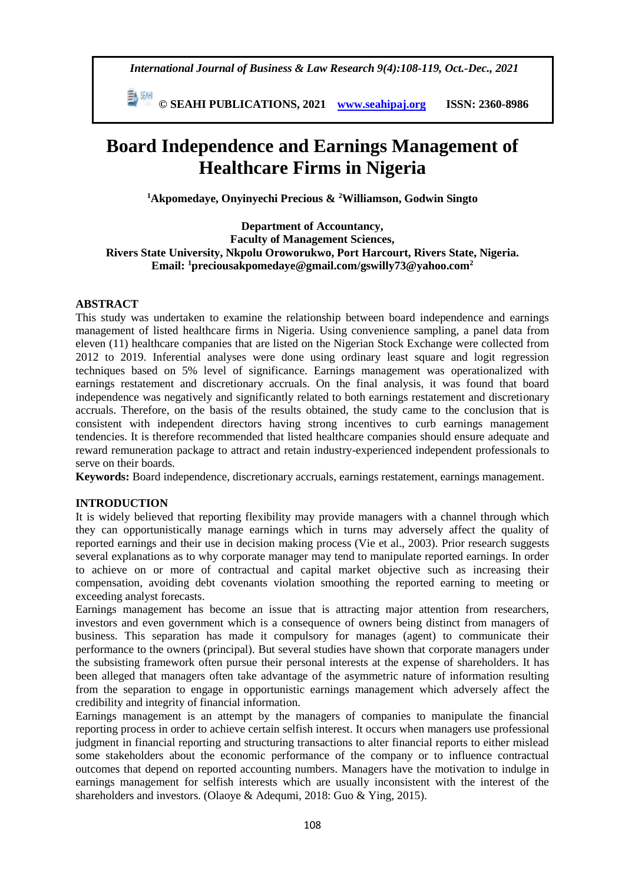*International Journal of Business & Law Research 9(4):108-119, Oct.-Dec., 2021*

 **© SEAHI PUBLICATIONS, 2021 [www.seahipaj.org](http://www.seahipaj.org/) ISSN: 2360-8986**

# **Board Independence and Earnings Management of Healthcare Firms in Nigeria**

**<sup>1</sup>Akpomedaye, Onyinyechi Precious & <sup>2</sup>Williamson, Godwin Singto**

**Department of Accountancy, Faculty of Management Sciences, Rivers State University, Nkpolu Oroworukwo, Port Harcourt, Rivers State, Nigeria. Email: <sup>1</sup>preciousakpomedaye@gmail.com/gswilly73@yahoo.com<sup>2</sup>**

# **ABSTRACT**

This study was undertaken to examine the relationship between board independence and earnings management of listed healthcare firms in Nigeria. Using convenience sampling, a panel data from eleven (11) healthcare companies that are listed on the Nigerian Stock Exchange were collected from 2012 to 2019. Inferential analyses were done using ordinary least square and logit regression techniques based on 5% level of significance. Earnings management was operationalized with earnings restatement and discretionary accruals. On the final analysis, it was found that board independence was negatively and significantly related to both earnings restatement and discretionary accruals. Therefore, on the basis of the results obtained, the study came to the conclusion that is consistent with independent directors having strong incentives to curb earnings management tendencies. It is therefore recommended that listed healthcare companies should ensure adequate and reward remuneration package to attract and retain industry-experienced independent professionals to serve on their boards.

**Keywords:** Board independence, discretionary accruals, earnings restatement, earnings management.

# **INTRODUCTION**

It is widely believed that reporting flexibility may provide managers with a channel through which they can opportunistically manage earnings which in turns may adversely affect the quality of reported earnings and their use in decision making process (Vie et al., 2003). Prior research suggests several explanations as to why corporate manager may tend to manipulate reported earnings. In order to achieve on or more of contractual and capital market objective such as increasing their compensation, avoiding debt covenants violation smoothing the reported earning to meeting or exceeding analyst forecasts.

Earnings management has become an issue that is attracting major attention from researchers, investors and even government which is a consequence of owners being distinct from managers of business. This separation has made it compulsory for manages (agent) to communicate their performance to the owners (principal). But several studies have shown that corporate managers under the subsisting framework often pursue their personal interests at the expense of shareholders. It has been alleged that managers often take advantage of the asymmetric nature of information resulting from the separation to engage in opportunistic earnings management which adversely affect the credibility and integrity of financial information.

Earnings management is an attempt by the managers of companies to manipulate the financial reporting process in order to achieve certain selfish interest. It occurs when managers use professional judgment in financial reporting and structuring transactions to alter financial reports to either mislead some stakeholders about the economic performance of the company or to influence contractual outcomes that depend on reported accounting numbers. Managers have the motivation to indulge in earnings management for selfish interests which are usually inconsistent with the interest of the shareholders and investors. (Olaoye & Adequmi, 2018: Guo & Ying, 2015).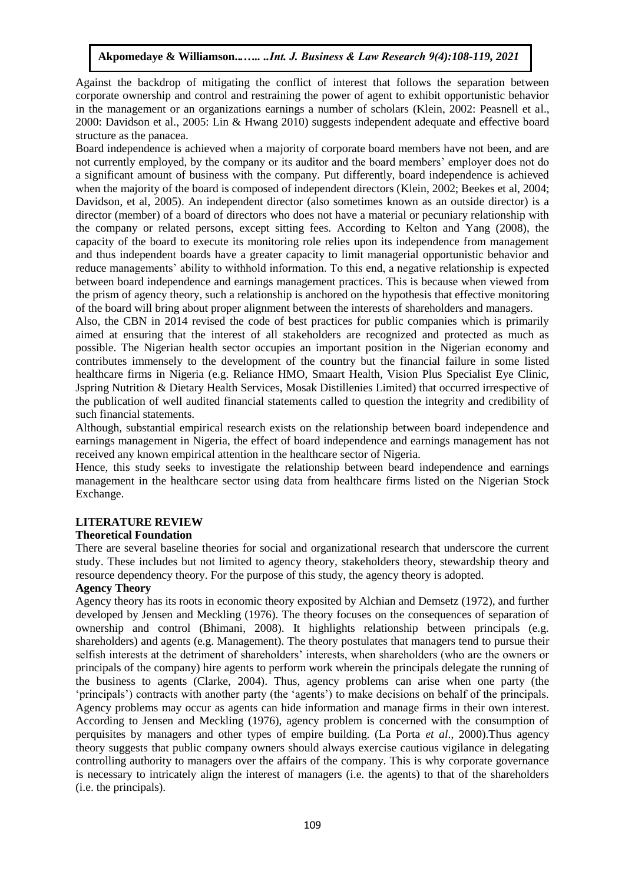Against the backdrop of mitigating the conflict of interest that follows the separation between corporate ownership and control and restraining the power of agent to exhibit opportunistic behavior in the management or an organizations earnings a number of scholars (Klein, 2002: Peasnell et al., 2000: Davidson et al., 2005: Lin & Hwang 2010) suggests independent adequate and effective board structure as the panacea.

Board independence is achieved when a majority of corporate board members have not been, and are not currently employed, by the company or its auditor and the board members' employer does not do a significant amount of business with the company. Put differently, board independence is achieved when the majority of the board is composed of independent directors (Klein, 2002; Beekes et al, 2004; Davidson, et al, 2005). An independent director (also sometimes known as an outside director) is a director (member) of a board of directors who does not have a material or pecuniary relationship with the company or related persons, except sitting fees. According to Kelton and Yang (2008), the capacity of the board to execute its monitoring role relies upon its independence from management and thus independent boards have a greater capacity to limit managerial opportunistic behavior and reduce managements' ability to withhold information. To this end, a negative relationship is expected between board independence and earnings management practices. This is because when viewed from the prism of agency theory, such a relationship is anchored on the hypothesis that effective monitoring of the board will bring about proper alignment between the interests of shareholders and managers.

Also, the CBN in 2014 revised the code of best practices for public companies which is primarily aimed at ensuring that the interest of all stakeholders are recognized and protected as much as possible. The Nigerian health sector occupies an important position in the Nigerian economy and contributes immensely to the development of the country but the financial failure in some listed healthcare firms in Nigeria (e.g. Reliance HMO, Smaart Health, Vision Plus Specialist Eye Clinic, Jspring Nutrition & Dietary Health Services, Mosak Distillenies Limited) that occurred irrespective of the publication of well audited financial statements called to question the integrity and credibility of such financial statements.

Although, substantial empirical research exists on the relationship between board independence and earnings management in Nigeria, the effect of board independence and earnings management has not received any known empirical attention in the healthcare sector of Nigeria.

Hence, this study seeks to investigate the relationship between beard independence and earnings management in the healthcare sector using data from healthcare firms listed on the Nigerian Stock Exchange.

## **LITERATURE REVIEW**

## **Theoretical Foundation**

There are several baseline theories for social and organizational research that underscore the current study. These includes but not limited to agency theory, stakeholders theory, stewardship theory and resource dependency theory. For the purpose of this study, the agency theory is adopted.

## **Agency Theory**

Agency theory has its roots in economic theory exposited by Alchian and Demsetz (1972), and further developed by Jensen and Meckling (1976). The theory focuses on the consequences of separation of ownership and control (Bhimani, 2008). It highlights relationship between principals (e.g. shareholders) and agents (e.g. Management). The theory postulates that managers tend to pursue their selfish interests at the detriment of shareholders' interests, when shareholders (who are the owners or principals of the company) hire agents to perform work wherein the principals delegate the running of the business to agents (Clarke, 2004). Thus, agency problems can arise when one party (the 'principals') contracts with another party (the 'agents') to make decisions on behalf of the principals. Agency problems may occur as agents can hide information and manage firms in their own interest. According to Jensen and Meckling (1976), agency problem is concerned with the consumption of perquisites by managers and other types of empire building. (La Porta *et al*., 2000).Thus agency theory suggests that public company owners should always exercise cautious vigilance in delegating controlling authority to managers over the affairs of the company. This is why corporate governance is necessary to intricately align the interest of managers (i.e. the agents) to that of the shareholders (i.e. the principals).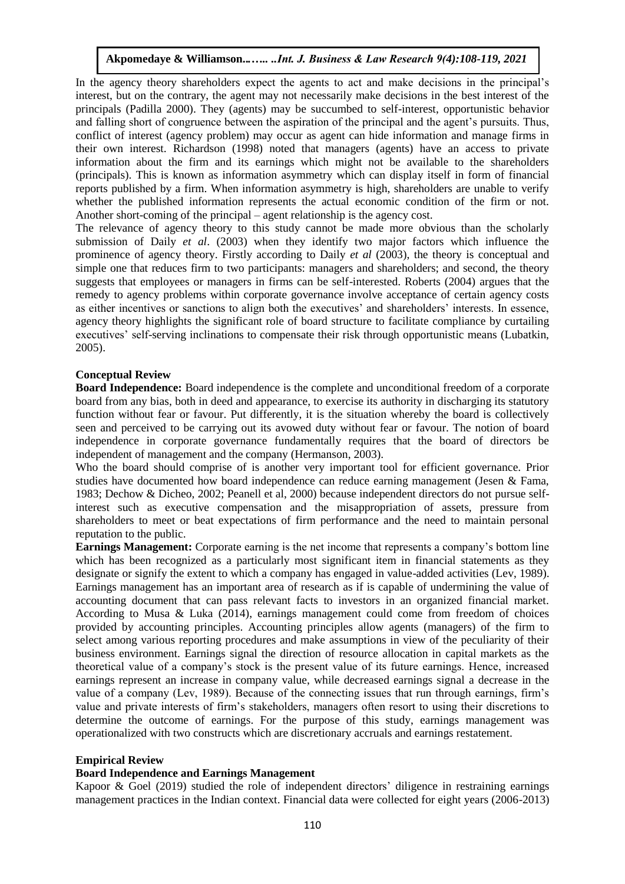In the agency theory shareholders expect the agents to act and make decisions in the principal's interest, but on the contrary, the agent may not necessarily make decisions in the best interest of the principals (Padilla 2000). They (agents) may be succumbed to self-interest, opportunistic behavior and falling short of congruence between the aspiration of the principal and the agent's pursuits. Thus, conflict of interest (agency problem) may occur as agent can hide information and manage firms in their own interest. Richardson (1998) noted that managers (agents) have an access to private information about the firm and its earnings which might not be available to the shareholders (principals). This is known as information asymmetry which can display itself in form of financial reports published by a firm. When information asymmetry is high, shareholders are unable to verify whether the published information represents the actual economic condition of the firm or not. Another short-coming of the principal – agent relationship is the agency cost.

The relevance of agency theory to this study cannot be made more obvious than the scholarly submission of Daily *et al*. (2003) when they identify two major factors which influence the prominence of agency theory. Firstly according to Daily *et al* (2003), the theory is conceptual and simple one that reduces firm to two participants: managers and shareholders; and second, the theory suggests that employees or managers in firms can be self-interested. Roberts (2004) argues that the remedy to agency problems within corporate governance involve acceptance of certain agency costs as either incentives or sanctions to align both the executives' and shareholders' interests. In essence, agency theory highlights the significant role of board structure to facilitate compliance by curtailing executives' self-serving inclinations to compensate their risk through opportunistic means (Lubatkin, 2005).

## **Conceptual Review**

**Board Independence:** Board independence is the complete and unconditional freedom of a corporate board from any bias, both in deed and appearance, to exercise its authority in discharging its statutory function without fear or favour. Put differently, it is the situation whereby the board is collectively seen and perceived to be carrying out its avowed duty without fear or favour. The notion of board independence in corporate governance fundamentally requires that the board of directors be independent of management and the company (Hermanson, 2003).

Who the board should comprise of is another very important tool for efficient governance. Prior studies have documented how board independence can reduce earning management (Jesen & Fama, 1983; Dechow & Dicheo, 2002; Peanell et al, 2000) because independent directors do not pursue selfinterest such as executive compensation and the misappropriation of assets, pressure from shareholders to meet or beat expectations of firm performance and the need to maintain personal reputation to the public.

**Earnings Management:** Corporate earning is the net income that represents a company's bottom line which has been recognized as a particularly most significant item in financial statements as they designate or signify the extent to which a company has engaged in value-added activities (Lev, 1989). Earnings management has an important area of research as if is capable of undermining the value of accounting document that can pass relevant facts to investors in an organized financial market. According to Musa & Luka (2014), earnings management could come from freedom of choices provided by accounting principles. Accounting principles allow agents (managers) of the firm to select among various reporting procedures and make assumptions in view of the peculiarity of their business environment. Earnings signal the direction of resource allocation in capital markets as the theoretical value of a company's stock is the present value of its future earnings. Hence, increased earnings represent an increase in company value, while decreased earnings signal a decrease in the value of a company (Lev, 1989). Because of the connecting issues that run through earnings, firm's value and private interests of firm's stakeholders, managers often resort to using their discretions to determine the outcome of earnings. For the purpose of this study, earnings management was operationalized with two constructs which are discretionary accruals and earnings restatement.

## **Empirical Review**

## **Board Independence and Earnings Management**

Kapoor & Goel (2019) studied the role of independent directors' diligence in restraining earnings management practices in the Indian context. Financial data were collected for eight years (2006-2013)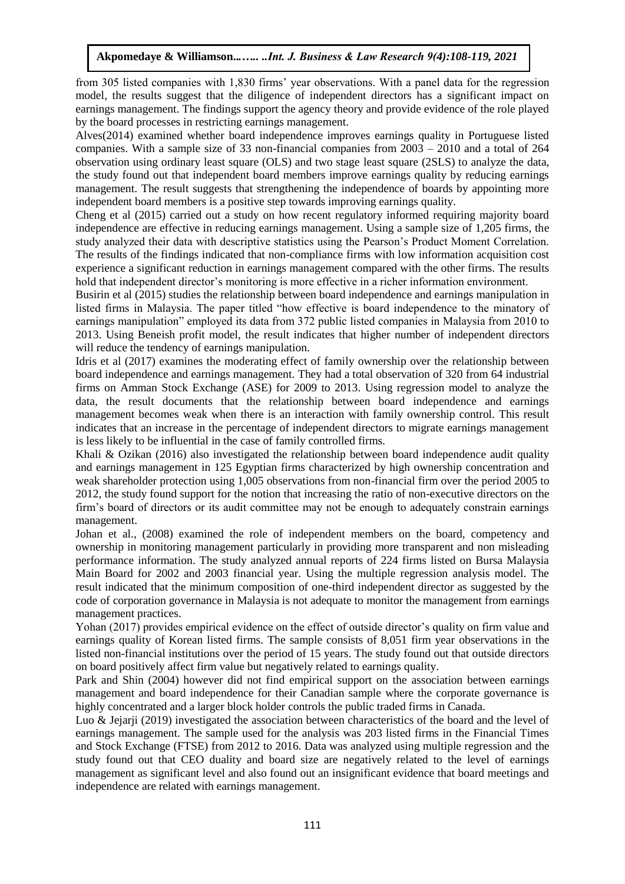from 305 listed companies with 1,830 firms' year observations. With a panel data for the regression model, the results suggest that the diligence of independent directors has a significant impact on earnings management. The findings support the agency theory and provide evidence of the role played by the board processes in restricting earnings management.

Alves(2014) examined whether board independence improves earnings quality in Portuguese listed companies. With a sample size of 33 non-financial companies from 2003 – 2010 and a total of 264 observation using ordinary least square (OLS) and two stage least square (2SLS) to analyze the data, the study found out that independent board members improve earnings quality by reducing earnings management. The result suggests that strengthening the independence of boards by appointing more independent board members is a positive step towards improving earnings quality.

Cheng et al (2015) carried out a study on how recent regulatory informed requiring majority board independence are effective in reducing earnings management. Using a sample size of 1,205 firms, the study analyzed their data with descriptive statistics using the Pearson's Product Moment Correlation. The results of the findings indicated that non-compliance firms with low information acquisition cost experience a significant reduction in earnings management compared with the other firms. The results hold that independent director's monitoring is more effective in a richer information environment.

Busirin et al (2015) studies the relationship between board independence and earnings manipulation in listed firms in Malaysia. The paper titled "how effective is board independence to the minatory of earnings manipulation" employed its data from 372 public listed companies in Malaysia from 2010 to 2013. Using Beneish profit model, the result indicates that higher number of independent directors will reduce the tendency of earnings manipulation.

Idris et al (2017) examines the moderating effect of family ownership over the relationship between board independence and earnings management. They had a total observation of 320 from 64 industrial firms on Amman Stock Exchange (ASE) for 2009 to 2013. Using regression model to analyze the data, the result documents that the relationship between board independence and earnings management becomes weak when there is an interaction with family ownership control. This result indicates that an increase in the percentage of independent directors to migrate earnings management is less likely to be influential in the case of family controlled firms.

Khali & Ozikan (2016) also investigated the relationship between board independence audit quality and earnings management in 125 Egyptian firms characterized by high ownership concentration and weak shareholder protection using 1,005 observations from non-financial firm over the period 2005 to 2012, the study found support for the notion that increasing the ratio of non-executive directors on the firm's board of directors or its audit committee may not be enough to adequately constrain earnings management.

Johan et al., (2008) examined the role of independent members on the board, competency and ownership in monitoring management particularly in providing more transparent and non misleading performance information. The study analyzed annual reports of 224 firms listed on Bursa Malaysia Main Board for 2002 and 2003 financial year. Using the multiple regression analysis model. The result indicated that the minimum composition of one-third independent director as suggested by the code of corporation governance in Malaysia is not adequate to monitor the management from earnings management practices.

Yohan (2017) provides empirical evidence on the effect of outside director's quality on firm value and earnings quality of Korean listed firms. The sample consists of 8,051 firm year observations in the listed non-financial institutions over the period of 15 years. The study found out that outside directors on board positively affect firm value but negatively related to earnings quality.

Park and Shin (2004) however did not find empirical support on the association between earnings management and board independence for their Canadian sample where the corporate governance is highly concentrated and a larger block holder controls the public traded firms in Canada.

Luo & Jejarii (2019) investigated the association between characteristics of the board and the level of earnings management. The sample used for the analysis was 203 listed firms in the Financial Times and Stock Exchange (FTSE) from 2012 to 2016. Data was analyzed using multiple regression and the study found out that CEO duality and board size are negatively related to the level of earnings management as significant level and also found out an insignificant evidence that board meetings and independence are related with earnings management.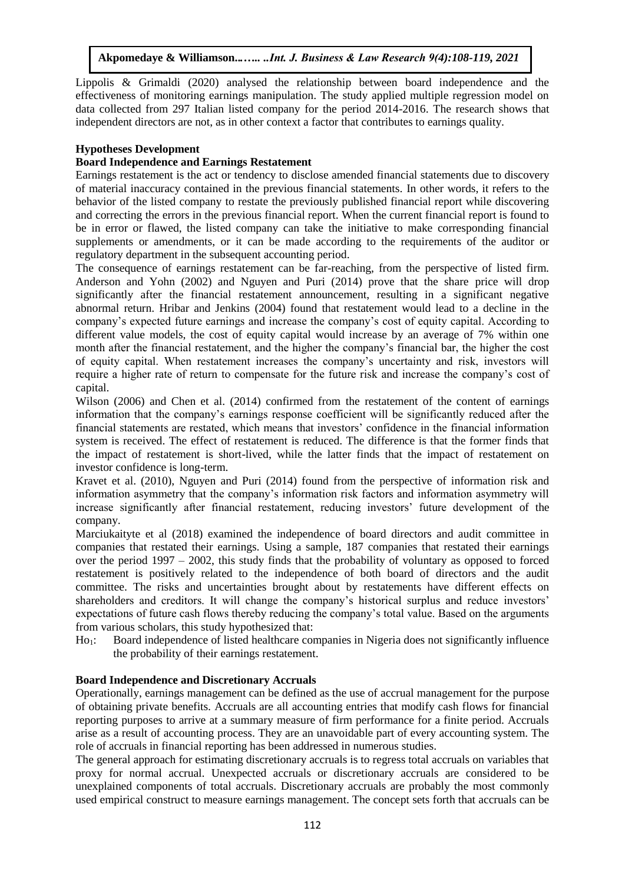Lippolis & Grimaldi (2020) analysed the relationship between board independence and the effectiveness of monitoring earnings manipulation. The study applied multiple regression model on data collected from 297 Italian listed company for the period 2014-2016. The research shows that independent directors are not, as in other context a factor that contributes to earnings quality.

# **Hypotheses Development**

## **Board Independence and Earnings Restatement**

Earnings restatement is the act or tendency to disclose amended financial statements due to discovery of material inaccuracy contained in the previous financial statements. In other words, it refers to the behavior of the listed company to restate the previously published financial report while discovering and correcting the errors in the previous financial report. When the current financial report is found to be in error or flawed, the listed company can take the initiative to make corresponding financial supplements or amendments, or it can be made according to the requirements of the auditor or regulatory department in the subsequent accounting period.

The consequence of earnings restatement can be far-reaching, from the perspective of listed firm. Anderson and Yohn (2002) and Nguyen and Puri (2014) prove that the share price will drop significantly after the financial restatement announcement, resulting in a significant negative abnormal return. Hribar and Jenkins (2004) found that restatement would lead to a decline in the company's expected future earnings and increase the company's cost of equity capital. According to different value models, the cost of equity capital would increase by an average of 7% within one month after the financial restatement, and the higher the company's financial bar, the higher the cost of equity capital. When restatement increases the company's uncertainty and risk, investors will require a higher rate of return to compensate for the future risk and increase the company's cost of capital.

Wilson (2006) and Chen et al. (2014) confirmed from the restatement of the content of earnings information that the company's earnings response coefficient will be significantly reduced after the financial statements are restated, which means that investors' confidence in the financial information system is received. The effect of restatement is reduced. The difference is that the former finds that the impact of restatement is short-lived, while the latter finds that the impact of restatement on investor confidence is long-term.

Kravet et al. (2010), Nguyen and Puri (2014) found from the perspective of information risk and information asymmetry that the company's information risk factors and information asymmetry will increase significantly after financial restatement, reducing investors' future development of the company.

Marciukaityte et al (2018) examined the independence of board directors and audit committee in companies that restated their earnings. Using a sample, 187 companies that restated their earnings over the period 1997 – 2002, this study finds that the probability of voluntary as opposed to forced restatement is positively related to the independence of both board of directors and the audit committee. The risks and uncertainties brought about by restatements have different effects on shareholders and creditors. It will change the company's historical surplus and reduce investors' expectations of future cash flows thereby reducing the company's total value. Based on the arguments from various scholars, this study hypothesized that:

Ho1: Board independence of listed healthcare companies in Nigeria does not significantly influence the probability of their earnings restatement.

## **Board Independence and Discretionary Accruals**

Operationally, earnings management can be defined as the use of accrual management for the purpose of obtaining private benefits. Accruals are all accounting entries that modify cash flows for financial reporting purposes to arrive at a summary measure of firm performance for a finite period. Accruals arise as a result of accounting process. They are an unavoidable part of every accounting system. The role of accruals in financial reporting has been addressed in numerous studies.

The general approach for estimating discretionary accruals is to regress total accruals on variables that proxy for normal accrual. Unexpected accruals or discretionary accruals are considered to be unexplained components of total accruals. Discretionary accruals are probably the most commonly used empirical construct to measure earnings management. The concept sets forth that accruals can be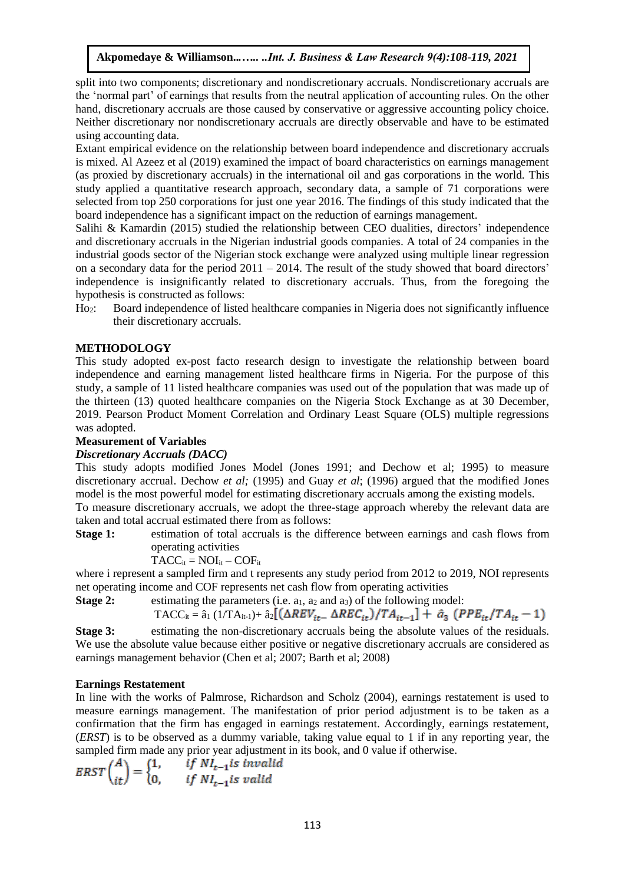split into two components; discretionary and nondiscretionary accruals. Nondiscretionary accruals are the 'normal part' of earnings that results from the neutral application of accounting rules. On the other hand, discretionary accruals are those caused by conservative or aggressive accounting policy choice. Neither discretionary nor nondiscretionary accruals are directly observable and have to be estimated using accounting data.

Extant empirical evidence on the relationship between board independence and discretionary accruals is mixed. Al Azeez et al (2019) examined the impact of board characteristics on earnings management (as proxied by discretionary accruals) in the international oil and gas corporations in the world. This study applied a quantitative research approach, secondary data, a sample of 71 corporations were selected from top 250 corporations for just one year 2016. The findings of this study indicated that the board independence has a significant impact on the reduction of earnings management.

Salihi & Kamardin (2015) studied the relationship between CEO dualities, directors' independence and discretionary accruals in the Nigerian industrial goods companies. A total of 24 companies in the industrial goods sector of the Nigerian stock exchange were analyzed using multiple linear regression on a secondary data for the period  $2011 - 2014$ . The result of the study showed that board directors' independence is insignificantly related to discretionary accruals. Thus, from the foregoing the hypothesis is constructed as follows:

Ho2: Board independence of listed healthcare companies in Nigeria does not significantly influence their discretionary accruals.

## **METHODOLOGY**

This study adopted ex-post facto research design to investigate the relationship between board independence and earning management listed healthcare firms in Nigeria. For the purpose of this study, a sample of 11 listed healthcare companies was used out of the population that was made up of the thirteen (13) quoted healthcare companies on the Nigeria Stock Exchange as at 30 December, 2019. Pearson Product Moment Correlation and Ordinary Least Square (OLS) multiple regressions was adopted.

#### **Measurement of Variables**

## *Discretionary Accruals (DACC)*

This study adopts modified Jones Model (Jones 1991; and Dechow et al; 1995) to measure discretionary accrual. Dechow *et al;* (1995) and Guay *et al*; (1996) argued that the modified Jones model is the most powerful model for estimating discretionary accruals among the existing models.

To measure discretionary accruals, we adopt the three-stage approach whereby the relevant data are taken and total accrual estimated there from as follows:

**Stage 1:** estimation of total accruals is the difference between earnings and cash flows from operating activities

$$
\widetilde{T}ACC_{it} = \text{NOI}_{it} - \text{COF}_{it}
$$

where i represent a sampled firm and t represents any study period from 2012 to 2019, NOI represents net operating income and COF represents net cash flow from operating activities

**Stage 2:** estimating the parameters (i.e.  $a_1$ ,  $a_2$  and  $a_3$ ) of the following model:

TACC<sub>it</sub> = 
$$
\hat{a}_1 (1/T A_{it-1}) + \hat{a}_2 [(\Delta REV_{it-} \Delta REC_{it})/TA_{it-1}] + \hat{a}_3 (PPE_{it}/TA_{it} - 1)
$$

**Stage 3:** estimating the non-discretionary accruals being the absolute values of the residuals. We use the absolute value because either positive or negative discretionary accruals are considered as earnings management behavior (Chen et al; 2007; Barth et al; 2008)

#### **Earnings Restatement**

In line with the works of Palmrose, Richardson and Scholz (2004), earnings restatement is used to measure earnings management. The manifestation of prior period adjustment is to be taken as a confirmation that the firm has engaged in earnings restatement. Accordingly, earnings restatement, (*ERST*) is to be observed as a dummy variable, taking value equal to 1 if in any reporting year, the sampled firm made any prior year adjustment in its book, and 0 value if otherwise.

$$
ERST\binom{A}{it} = \begin{cases} 1, & if \ Nl_{t-1} \text{ is invalid} \\ 0, & if \ Nl_{t-1} \text{ is valid} \end{cases}
$$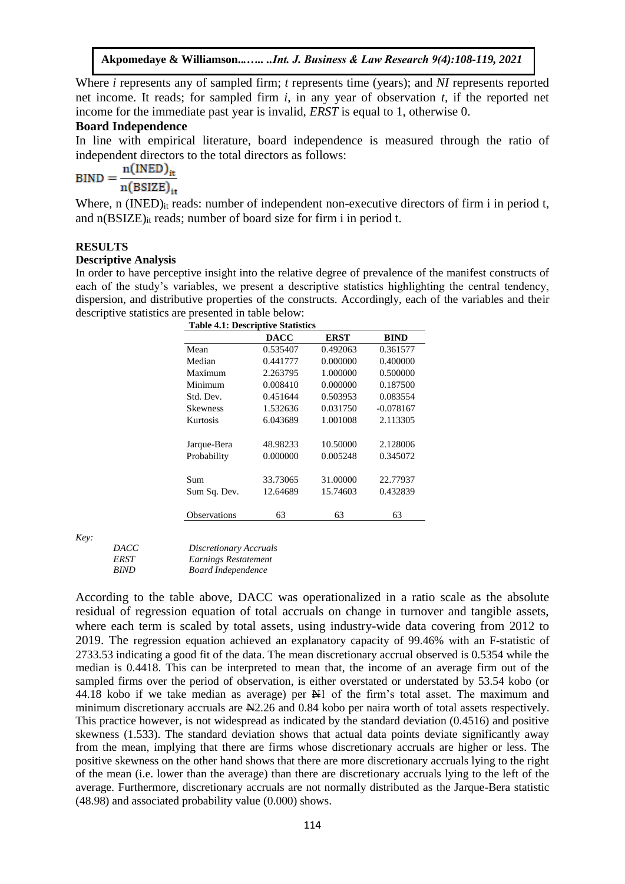Where *i* represents any of sampled firm; *t* represents time (years); and *NI* represents reported net income. It reads; for sampled firm *i*, in any year of observation *t,* if the reported net income for the immediate past year is invalid, *ERST* is equal to 1, otherwise 0.

## **Board Independence**

In line with empirical literature, board independence is measured through the ratio of independent directors to the total directors as follows:

$$
BIND = \frac{n(\text{INED})_{it}}{n(\text{BSIZE})_{it}}
$$

Where, n (INED)<sub>it</sub> reads: number of independent non-executive directors of firm i in period t, and n(BSIZE)it reads; number of board size for firm i in period t.

## **RESULTS**

## **Descriptive Analysis**

In order to have perceptive insight into the relative degree of prevalence of the manifest constructs of each of the study's variables, we present a descriptive statistics highlighting the central tendency, dispersion, and distributive properties of the constructs. Accordingly, each of the variables and their descriptive statistics are presented in table below:

| <b>Table 4.1: Descriptive Statistics</b> |          |             |             |  |  |
|------------------------------------------|----------|-------------|-------------|--|--|
|                                          | DACC     | <b>ERST</b> | <b>BIND</b> |  |  |
| Mean                                     | 0.535407 | 0.492063    | 0.361577    |  |  |
| Median                                   | 0.441777 | 0.000000    | 0.400000    |  |  |
| Maximum                                  | 2.263795 | 1.000000    | 0.500000    |  |  |
| Minimum                                  | 0.008410 | 0.000000    | 0.187500    |  |  |
| Std. Dev.                                | 0.451644 | 0.503953    | 0.083554    |  |  |
| <b>Skewness</b>                          | 1.532636 | 0.031750    | $-0.078167$ |  |  |
| Kurtosis                                 | 6.043689 | 1.001008    | 2.113305    |  |  |
|                                          |          |             |             |  |  |
| Jarque-Bera                              | 48.98233 | 10.50000    | 2.128006    |  |  |
| Probability                              | 0.000000 | 0.005248    | 0.345072    |  |  |
|                                          |          |             |             |  |  |
| Sum                                      | 33.73065 | 31.00000    | 22.77937    |  |  |
| Sum Sq. Dev.                             | 12.64689 | 15.74603    | 0.432839    |  |  |
|                                          |          |             |             |  |  |
| <b>Observations</b>                      | 63       | 63          | 63          |  |  |
|                                          |          |             |             |  |  |

*Key:*

| <i>DACC</i> | Discretionary Accruals    |  |
|-------------|---------------------------|--|
| ERST        | Earnings Restatement      |  |
| <i>BIND</i> | <b>Board Independence</b> |  |

According to the table above, DACC was operationalized in a ratio scale as the absolute residual of regression equation of total accruals on change in turnover and tangible assets, where each term is scaled by total assets, using industry-wide data covering from 2012 to 2019. The regression equation achieved an explanatory capacity of 99.46% with an F-statistic of 2733.53 indicating a good fit of the data. The mean discretionary accrual observed is 0.5354 while the median is 0.4418. This can be interpreted to mean that, the income of an average firm out of the sampled firms over the period of observation, is either overstated or understated by 53.54 kobo (or 44.18 kobo if we take median as average) per  $\mathbb{H}1$  of the firm's total asset. The maximum and minimum discretionary accruals are  $\mathbb{H}2.26$  and 0.84 kobo per naira worth of total assets respectively. This practice however, is not widespread as indicated by the standard deviation (0.4516) and positive skewness (1.533). The standard deviation shows that actual data points deviate significantly away from the mean, implying that there are firms whose discretionary accruals are higher or less. The positive skewness on the other hand shows that there are more discretionary accruals lying to the right of the mean (i.e. lower than the average) than there are discretionary accruals lying to the left of the average. Furthermore, discretionary accruals are not normally distributed as the Jarque-Bera statistic (48.98) and associated probability value (0.000) shows.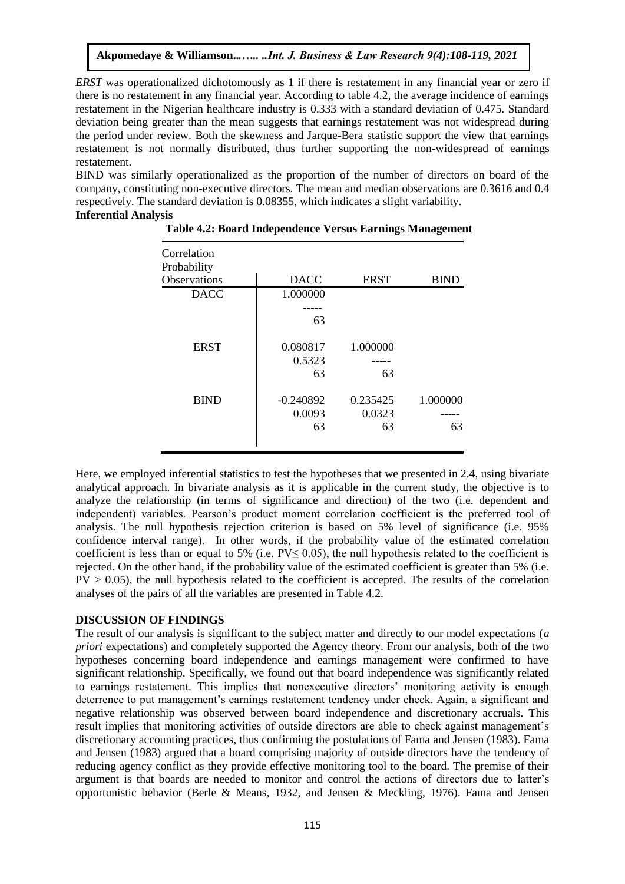*ERST* was operationalized dichotomously as 1 if there is restatement in any financial year or zero if there is no restatement in any financial year. According to table 4.2, the average incidence of earnings restatement in the Nigerian healthcare industry is 0.333 with a standard deviation of 0.475. Standard deviation being greater than the mean suggests that earnings restatement was not widespread during the period under review. Both the skewness and Jarque-Bera statistic support the view that earnings restatement is not normally distributed, thus further supporting the non-widespread of earnings restatement.

BIND was similarly operationalized as the proportion of the number of directors on board of the company, constituting non-executive directors. The mean and median observations are 0.3616 and 0.4 respectively. The standard deviation is 0.08355, which indicates a slight variability. **Inferential Analysis**

| Correlation<br>Probability |             |             |             |
|----------------------------|-------------|-------------|-------------|
| Observations               | <b>DACC</b> | <b>ERST</b> | <b>BIND</b> |
| <b>DACC</b>                | 1.000000    |             |             |
|                            |             |             |             |
|                            | 63          |             |             |
| <b>ERST</b>                | 0.080817    | 1.000000    |             |
|                            | 0.5323      |             |             |
|                            | 63          | 63          |             |
| <b>BIND</b>                | $-0.240892$ | 0.235425    | 1.000000    |
|                            | 0.0093      | 0.0323      |             |
|                            | 63          | 63          | 63          |
|                            |             |             |             |

| Table 4.2: Board Independence Versus Earnings Management |  |  |  |
|----------------------------------------------------------|--|--|--|
|----------------------------------------------------------|--|--|--|

Here, we employed inferential statistics to test the hypotheses that we presented in 2.4, using bivariate analytical approach. In bivariate analysis as it is applicable in the current study, the objective is to analyze the relationship (in terms of significance and direction) of the two (i.e. dependent and independent) variables. Pearson's product moment correlation coefficient is the preferred tool of analysis. The null hypothesis rejection criterion is based on 5% level of significance (i.e. 95% confidence interval range). In other words, if the probability value of the estimated correlation coefficient is less than or equal to 5% (i.e.  $PV \le 0.05$ ), the null hypothesis related to the coefficient is rejected. On the other hand, if the probability value of the estimated coefficient is greater than 5% (i.e.  $PV > 0.05$ ), the null hypothesis related to the coefficient is accepted. The results of the correlation analyses of the pairs of all the variables are presented in Table 4.2.

## **DISCUSSION OF FINDINGS**

The result of our analysis is significant to the subject matter and directly to our model expectations (*a priori* expectations) and completely supported the Agency theory. From our analysis, both of the two hypotheses concerning board independence and earnings management were confirmed to have significant relationship. Specifically, we found out that board independence was significantly related to earnings restatement. This implies that nonexecutive directors' monitoring activity is enough deterrence to put management's earnings restatement tendency under check. Again, a significant and negative relationship was observed between board independence and discretionary accruals. This result implies that monitoring activities of outside directors are able to check against management's discretionary accounting practices, thus confirming the postulations of Fama and Jensen (1983). Fama and Jensen (1983) argued that a board comprising majority of outside directors have the tendency of reducing agency conflict as they provide effective monitoring tool to the board. The premise of their argument is that boards are needed to monitor and control the actions of directors due to latter's opportunistic behavior (Berle & Means, 1932, and Jensen & Meckling, 1976). Fama and Jensen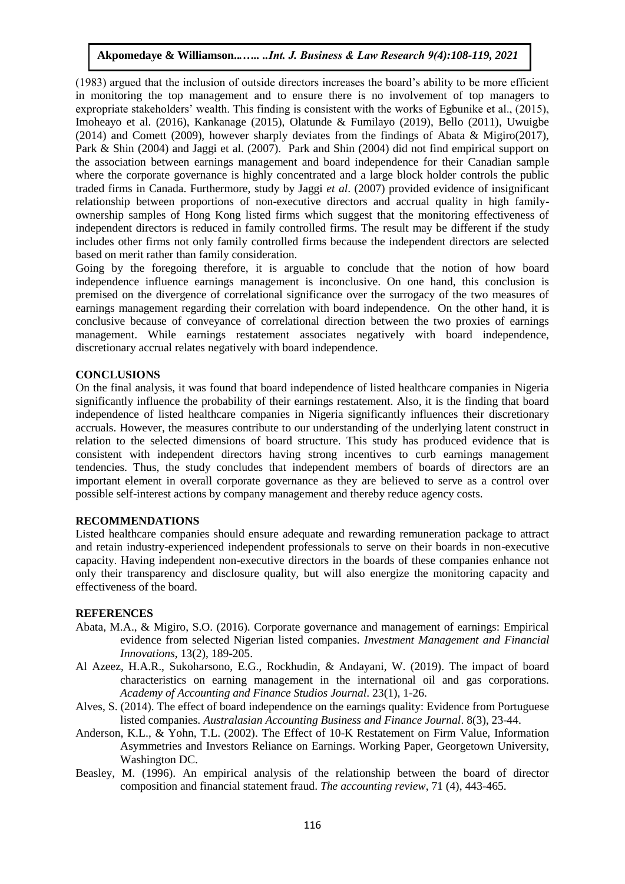(1983) argued that the inclusion of outside directors increases the board's ability to be more efficient in monitoring the top management and to ensure there is no involvement of top managers to expropriate stakeholders' wealth. This finding is consistent with the works of Egbunike et al., (2015), Imoheayo et al. (2016), Kankanage (2015), Olatunde & Fumilayo (2019), Bello (2011), Uwuigbe (2014) and Comett (2009), however sharply deviates from the findings of Abata & Migiro(2017), Park & Shin (2004) and Jaggi et al. (2007). Park and Shin (2004) did not find empirical support on the association between earnings management and board independence for their Canadian sample where the corporate governance is highly concentrated and a large block holder controls the public traded firms in Canada. Furthermore, study by Jaggi *et al*. (2007) provided evidence of insignificant relationship between proportions of non-executive directors and accrual quality in high familyownership samples of Hong Kong listed firms which suggest that the monitoring effectiveness of independent directors is reduced in family controlled firms. The result may be different if the study includes other firms not only family controlled firms because the independent directors are selected based on merit rather than family consideration.

Going by the foregoing therefore, it is arguable to conclude that the notion of how board independence influence earnings management is inconclusive. On one hand, this conclusion is premised on the divergence of correlational significance over the surrogacy of the two measures of earnings management regarding their correlation with board independence. On the other hand, it is conclusive because of conveyance of correlational direction between the two proxies of earnings management. While earnings restatement associates negatively with board independence, discretionary accrual relates negatively with board independence.

## **CONCLUSIONS**

On the final analysis, it was found that board independence of listed healthcare companies in Nigeria significantly influence the probability of their earnings restatement. Also, it is the finding that board independence of listed healthcare companies in Nigeria significantly influences their discretionary accruals. However, the measures contribute to our understanding of the underlying latent construct in relation to the selected dimensions of board structure. This study has produced evidence that is consistent with independent directors having strong incentives to curb earnings management tendencies. Thus, the study concludes that independent members of boards of directors are an important element in overall corporate governance as they are believed to serve as a control over possible self-interest actions by company management and thereby reduce agency costs.

## **RECOMMENDATIONS**

Listed healthcare companies should ensure adequate and rewarding remuneration package to attract and retain industry-experienced independent professionals to serve on their boards in non-executive capacity. Having independent non-executive directors in the boards of these companies enhance not only their transparency and disclosure quality, but will also energize the monitoring capacity and effectiveness of the board.

## **REFERENCES**

- Abata, M.A., & Migiro, S.O. (2016). Corporate governance and management of earnings: Empirical evidence from selected Nigerian listed companies. *Investment Management and Financial Innovations*, 13(2), 189-205.
- Al Azeez, H.A.R., Sukoharsono, E.G., Rockhudin, & Andayani, W. (2019). The impact of board characteristics on earning management in the international oil and gas corporations. *Academy of Accounting and Finance Studios Journal*. 23(1), 1-26.
- Alves, S. (2014). The effect of board independence on the earnings quality: Evidence from Portuguese listed companies. *Australasian Accounting Business and Finance Journal*. 8(3), 23-44.
- Anderson, K.L., & Yohn, T.L. (2002). The Effect of 10-K Restatement on Firm Value, Information Asymmetries and Investors Reliance on Earnings. Working Paper, Georgetown University, Washington DC.
- Beasley, M. (1996). An empirical analysis of the relationship between the board of director composition and financial statement fraud. *The accounting review*, 71 (4), 443-465.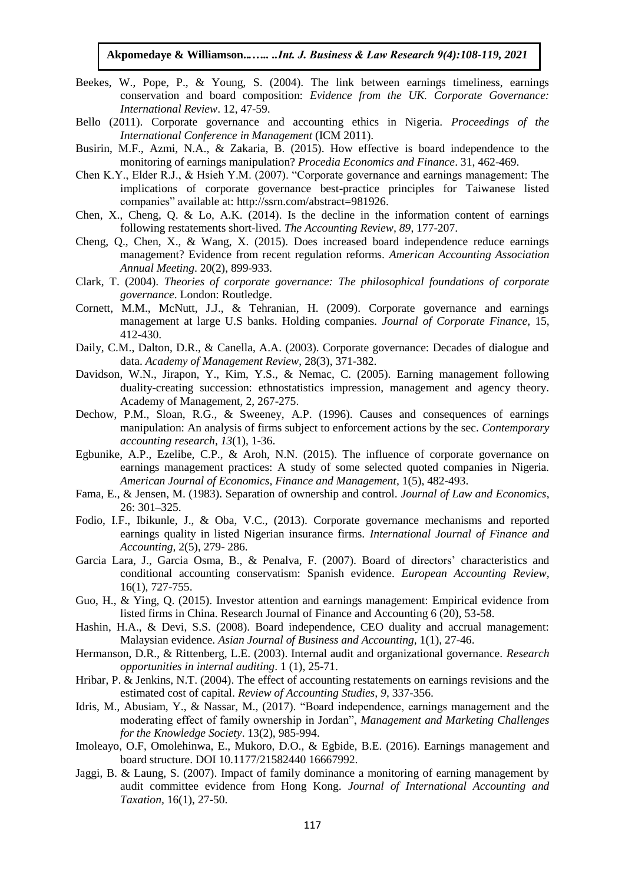- Beekes, W., Pope, P., & Young, S. (2004). The link between earnings timeliness, earnings conservation and board composition: *Evidence from the UK. Corporate Governance: International Review*. 12, 47-59.
- Bello (2011). Corporate governance and accounting ethics in Nigeria. *Proceedings of the International Conference in Management* (ICM 2011).
- Busirin, M.F., Azmi, N.A., & Zakaria, B. (2015). How effective is board independence to the monitoring of earnings manipulation? *Procedia Economics and Finance*. 31, 462-469.
- Chen K.Y., Elder R.J., & Hsieh Y.M. (2007). "Corporate governance and earnings management: The implications of corporate governance best-practice principles for Taiwanese listed companies" available at: [http://ssrn.com/abstract=981926.](http://ssrn.com/abstract=981926)
- Chen, X., Cheng, Q. & Lo, A.K. (2014). Is the decline in the information content of earnings following restatements short-lived. *The Accounting Review, 89*, 177-207.
- Cheng, Q., Chen, X., & Wang, X. (2015). Does increased board independence reduce earnings management? Evidence from recent regulation reforms. *American Accounting Association Annual Meeting*. 20(2), 899-933.
- Clark, T. (2004). *Theories of corporate governance: The philosophical foundations of corporate governance*. London: Routledge.
- Cornett, M.M., McNutt, J.J., & Tehranian, H. (2009). Corporate governance and earnings management at large U.S banks. Holding companies. *Journal of Corporate Finance,* 15, 412-430.
- Daily, C.M., Dalton, D.R., & Canella, A.A. (2003). Corporate governance: Decades of dialogue and data. *Academy of Management Review*, 28(3), 371-382.
- Davidson, W.N., Jirapon, Y., Kim, Y.S., & Nemac, C. (2005). Earning management following duality-creating succession: ethnostatistics impression, management and agency theory. Academy of Management, 2, 267-275.
- Dechow, P.M., Sloan, R.G., & Sweeney, A.P. (1996). Causes and consequences of earnings manipulation: An analysis of firms subject to enforcement actions by the sec. *Contemporary accounting research*, *13*(1), 1-36.
- Egbunike, A.P., Ezelibe, C.P., & Aroh, N.N. (2015). The influence of corporate governance on earnings management practices: A study of some selected quoted companies in Nigeria. *American Journal of Economics, Finance and Management,* 1(5), 482-493.
- Fama, E., & Jensen, M. (1983). Separation of ownership and control. *Journal of Law and Economics*, 26: 301–325.
- Fodio, I.F., Ibikunle, J., & Oba, V.C., (2013). Corporate governance mechanisms and reported earnings quality in listed Nigerian insurance firms. *International Journal of Finance and Accounting,* 2(5), 279- 286.
- Garcia Lara, J., Garcia Osma, B., & Penalva, F. (2007). Board of directors' characteristics and conditional accounting conservatism: Spanish evidence. *European Accounting Review,* 16(1), 727-755.
- Guo, H., & Ying, Q. (2015). Investor attention and earnings management: Empirical evidence from listed firms in China. Research Journal of Finance and Accounting 6 (20), 53-58.
- Hashin, H.A., & Devi, S.S. (2008). Board independence, CEO duality and accrual management: Malaysian evidence. *Asian Journal of Business and Accounting,* 1(1), 27-46.
- Hermanson, D.R., & Rittenberg, L.E. (2003). Internal audit and organizational governance. *Research opportunities in internal auditing*. 1 (1), 25-71.
- Hribar, P. & Jenkins, N.T. (2004). The effect of accounting restatements on earnings revisions and the estimated cost of capital. *Review of Accounting Studies, 9*, 337-356.
- Idris, M., Abusiam, Y., & Nassar, M., (2017). "Board independence, earnings management and the moderating effect of family ownership in Jordan", *Management and Marketing Challenges for the Knowledge Society*. 13(2), 985-994.
- Imoleayo, O.F, Omolehinwa, E., Mukoro, D.O., & Egbide, B.E. (2016). Earnings management and board structure. DOI 10.1177/21582440 16667992.
- Jaggi, B. & Laung, S. (2007). Impact of family dominance a monitoring of earning management by audit committee evidence from Hong Kong. *Journal of International Accounting and Taxation,* 16(1), 27-50.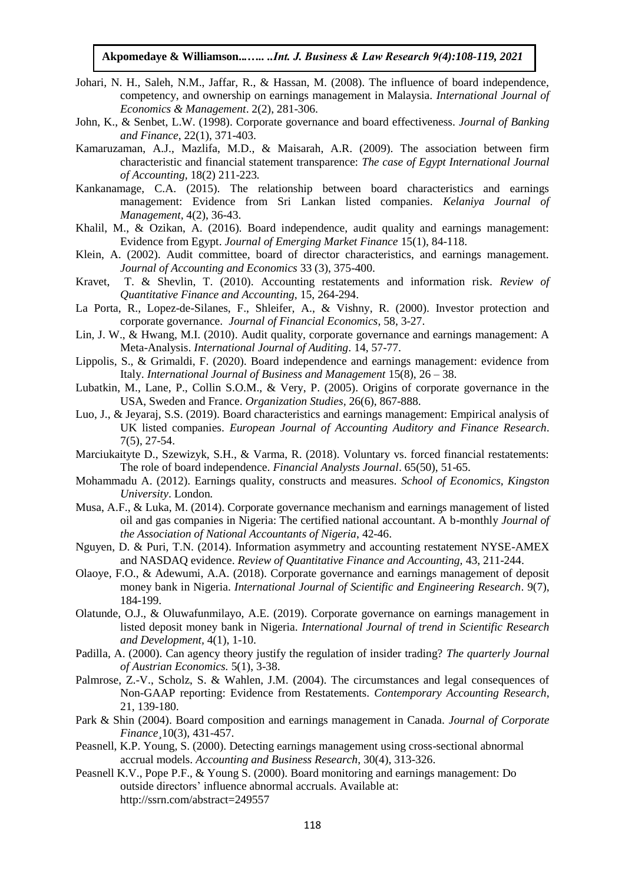- Johari, N. H., Saleh, N.M., Jaffar, R., & Hassan, M. (2008). The influence of board independence, competency, and ownership on earnings management in Malaysia. *International Journal of Economics & Management*. 2(2), 281-306.
- John, K., & Senbet, L.W. (1998). Corporate governance and board effectiveness. *Journal of Banking and Finance*, 22(1), 371-403.
- Kamaruzaman, A.J., Mazlifa, M.D., & Maisarah, A.R. (2009). The association between firm characteristic and financial statement transparence: *The case of Egypt International Journal of Accounting,* 18(2) 211-223*.*
- Kankanamage, C.A. (2015). The relationship between board characteristics and earnings management: Evidence from Sri Lankan listed companies. *Kelaniya Journal of Management,* 4(2), 36-43.
- Khalil, M., & Ozikan, A. (2016). Board independence, audit quality and earnings management: Evidence from Egypt. *Journal of Emerging Market Finance* 15(1), 84-118.
- Klein, A. (2002). Audit committee, board of director characteristics, and earnings management. *Journal of Accounting and Economics* 33 (3), 375-400.
- Kravet, T. & Shevlin, T. (2010). Accounting restatements and information risk. *Review of Quantitative Finance and Accounting*, 15, 264-294.
- La Porta, R., Lopez-de-Silanes, F., Shleifer, A., & Vishny, R. (2000). Investor protection and corporate governance. *Journal of Financial Economics*, 58, 3-27.
- Lin, J. W., & Hwang, M.I. (2010). Audit quality, corporate governance and earnings management: A Meta-Analysis. *International Journal of Auditing*. 14, 57-77.
- Lippolis, S., & Grimaldi, F. (2020). Board independence and earnings management: evidence from Italy. *International Journal of Business and Management* 15(8), 26 – 38.
- Lubatkin, M., Lane, P., Collin S.O.M., & Very, P. (2005). Origins of corporate governance in the USA, Sweden and France. *Organization Studies,* 26(6), 867-888.
- Luo, J., & Jeyaraj, S.S. (2019). Board characteristics and earnings management: Empirical analysis of UK listed companies. *European Journal of Accounting Auditory and Finance Research*. 7(5), 27-54.
- Marciukaityte D., Szewizyk, S.H., & Varma, R. (2018). Voluntary vs. forced financial restatements: The role of board independence. *Financial Analysts Journal*. 65(50), 51-65.
- Mohammadu A. (2012). Earnings quality, constructs and measures. *School of Economics, Kingston University*. London*.*
- Musa, A.F., & Luka, M. (2014). Corporate governance mechanism and earnings management of listed oil and gas companies in Nigeria: The certified national accountant. A b-monthly *Journal of the Association of National Accountants of Nigeria*, 42-46.
- Nguyen, D. & Puri, T.N. (2014). Information asymmetry and accounting restatement NYSE-AMEX and NASDAQ evidence. *Review of Quantitative Finance and Accounting,* 43, 211-244.
- Olaoye, F.O., & Adewumi, A.A. (2018). Corporate governance and earnings management of deposit money bank in Nigeria. *International Journal of Scientific and Engineering Research*. 9(7), 184-199.
- Olatunde, O.J., & Oluwafunmilayo, A.E. (2019). Corporate governance on earnings management in listed deposit money bank in Nigeria. *International Journal of trend in Scientific Research and Development,* 4(1), 1-10.
- Padilla, A. (2000). Can agency theory justify the regulation of insider trading? *The quarterly Journal of Austrian Economics.* 5(1), 3-38.
- Palmrose, Z.-V., Scholz, S. & Wahlen, J.M. (2004). The circumstances and legal consequences of Non-GAAP reporting: Evidence from Restatements. *Contemporary Accounting Research*, 21, 139-180.
- Park & Shin (2004). Board composition and earnings management in Canada. *Journal of Corporate Finance¸*10(3), 431-457.
- Peasnell, K.P. Young, S. (2000). Detecting earnings management using cross-sectional abnormal accrual models. *Accounting and Business Research*, 30(4), 313-326.
- Peasnell K.V., Pope P.F., & Young S. (2000). Board monitoring and earnings management: Do outside directors' influence abnormal accruals. Available at: <http://ssrn.com/abstract=249557>